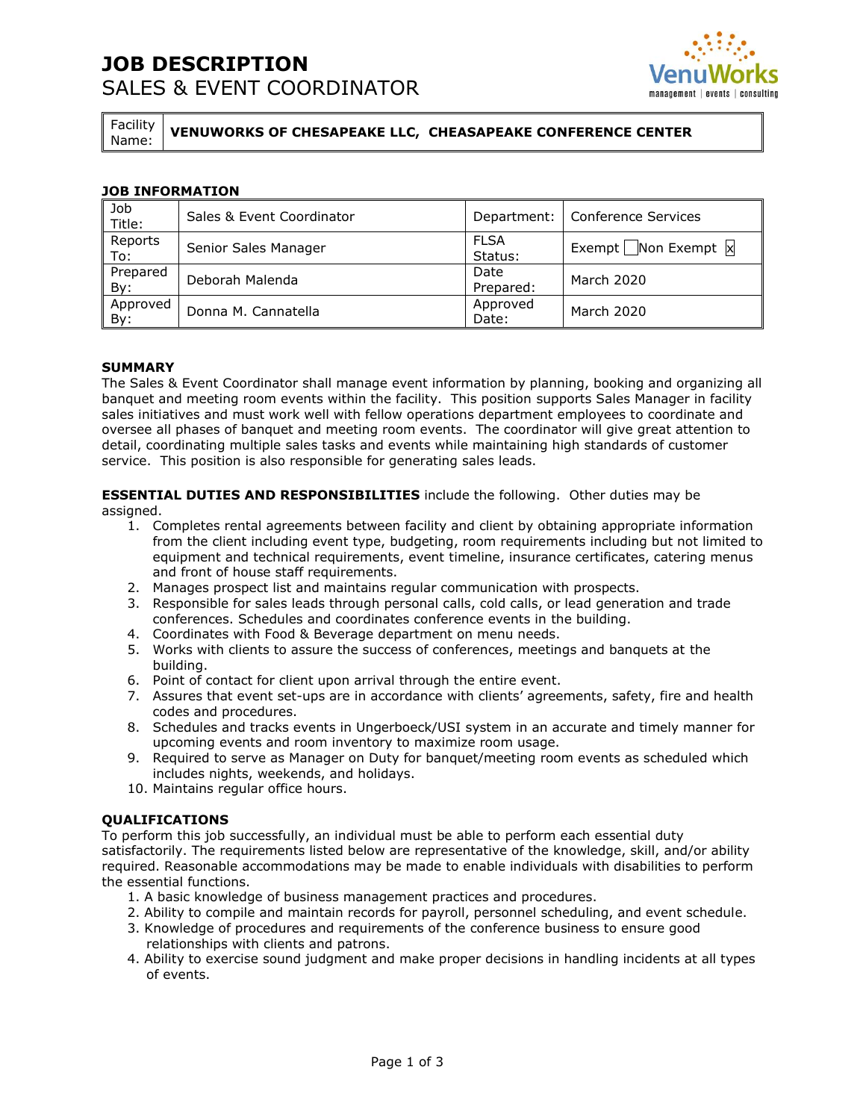# **JOB DESCRIPTION**  SALES & EVENT COORDINATOR



Facility

Name: **VENUWORKS OF CHESAPEAKE LLC, CHEASAPEAKE CONFERENCE CENTER** 

# **JOB INFORMATION**

| Job<br>Title:   | Sales & Event Coordinator |                        | Department:   Conference Services |
|-----------------|---------------------------|------------------------|-----------------------------------|
| Reports<br>To:  | Senior Sales Manager      | <b>FLSA</b><br>Status: | Exempt   Non Exempt   x           |
| Prepared<br>By: | Deborah Malenda           | Date<br>Prepared:      | March 2020                        |
| Approved<br>By: | Donna M. Cannatella       | Approved<br>Date:      | March 2020                        |

## **SUMMARY**

The Sales & Event Coordinator shall manage event information by planning, booking and organizing all banquet and meeting room events within the facility. This position supports Sales Manager in facility sales initiatives and must work well with fellow operations department employees to coordinate and oversee all phases of banquet and meeting room events. The coordinator will give great attention to detail, coordinating multiple sales tasks and events while maintaining high standards of customer service. This position is also responsible for generating sales leads.

**ESSENTIAL DUTIES AND RESPONSIBILITIES** include the following. Other duties may be assigned.

- 1. Completes rental agreements between facility and client by obtaining appropriate information from the client including event type, budgeting, room requirements including but not limited to equipment and technical requirements, event timeline, insurance certificates, catering menus and front of house staff requirements.
- 2. Manages prospect list and maintains regular communication with prospects.
- 3. Responsible for sales leads through personal calls, cold calls, or lead generation and trade conferences. Schedules and coordinates conference events in the building.
- 4. Coordinates with Food & Beverage department on menu needs.
- 5. Works with clients to assure the success of conferences, meetings and banquets at the building.
- 6. Point of contact for client upon arrival through the entire event.
- 7. Assures that event set-ups are in accordance with clients' agreements, safety, fire and health codes and procedures.
- 8. Schedules and tracks events in Ungerboeck/USI system in an accurate and timely manner for upcoming events and room inventory to maximize room usage.
- 9. Required to serve as Manager on Duty for banquet/meeting room events as scheduled which includes nights, weekends, and holidays.
- 10. Maintains regular office hours.

## **QUALIFICATIONS**

To perform this job successfully, an individual must be able to perform each essential duty satisfactorily. The requirements listed below are representative of the knowledge, skill, and/or ability required. Reasonable accommodations may be made to enable individuals with disabilities to perform the essential functions.

- 1. A basic knowledge of business management practices and procedures.
- 2. Ability to compile and maintain records for payroll, personnel scheduling, and event schedule.
- 3. Knowledge of procedures and requirements of the conference business to ensure good relationships with clients and patrons.
- 4. Ability to exercise sound judgment and make proper decisions in handling incidents at all types of events.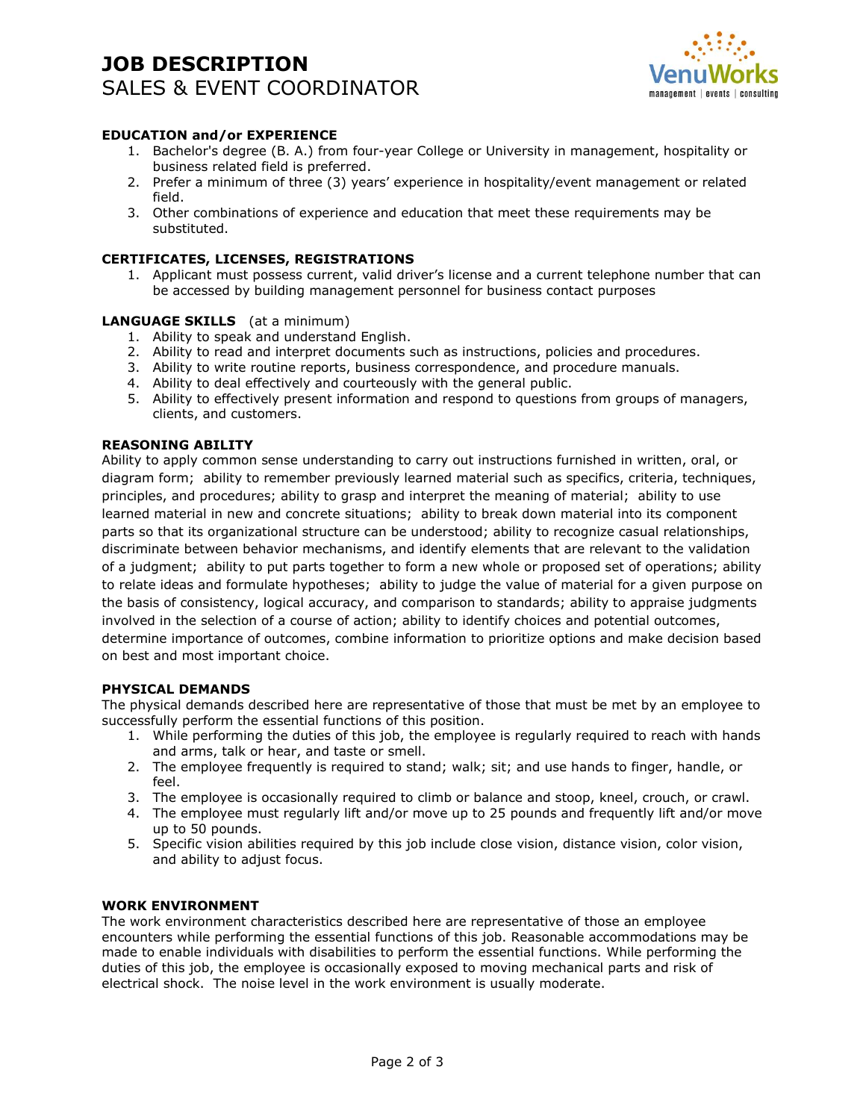# **JOB DESCRIPTION**  SALES & EVENT COORDINATOR



## **EDUCATION and/or EXPERIENCE**

- 1. Bachelor's degree (B. A.) from four-year College or University in management, hospitality or business related field is preferred.
- 2. Prefer a minimum of three (3) years' experience in hospitality/event management or related field.
- 3. Other combinations of experience and education that meet these requirements may be substituted.

#### **CERTIFICATES, LICENSES, REGISTRATIONS**

1. Applicant must possess current, valid driver's license and a current telephone number that can be accessed by building management personnel for business contact purposes

#### **LANGUAGE SKILLS** (at a minimum)

- 1. Ability to speak and understand English.
- 2. Ability to read and interpret documents such as instructions, policies and procedures.
- 3. Ability to write routine reports, business correspondence, and procedure manuals.
- 4. Ability to deal effectively and courteously with the general public.
- 5. Ability to effectively present information and respond to questions from groups of managers, clients, and customers.

#### **REASONING ABILITY**

Ability to apply common sense understanding to carry out instructions furnished in written, oral, or diagram form; ability to remember previously learned material such as specifics, criteria, techniques, principles, and procedures; ability to grasp and interpret the meaning of material; ability to use learned material in new and concrete situations; ability to break down material into its component parts so that its organizational structure can be understood; ability to recognize casual relationships, discriminate between behavior mechanisms, and identify elements that are relevant to the validation of a judgment; ability to put parts together to form a new whole or proposed set of operations; ability to relate ideas and formulate hypotheses; ability to judge the value of material for a given purpose on the basis of consistency, logical accuracy, and comparison to standards; ability to appraise judgments involved in the selection of a course of action; ability to identify choices and potential outcomes, determine importance of outcomes, combine information to prioritize options and make decision based on best and most important choice.

## **PHYSICAL DEMANDS**

The physical demands described here are representative of those that must be met by an employee to successfully perform the essential functions of this position.

- 1. While performing the duties of this job, the employee is regularly required to reach with hands and arms, talk or hear, and taste or smell.
- 2. The employee frequently is required to stand; walk; sit; and use hands to finger, handle, or feel.
- 3. The employee is occasionally required to climb or balance and stoop, kneel, crouch, or crawl.
- 4. The employee must regularly lift and/or move up to 25 pounds and frequently lift and/or move up to 50 pounds.
- 5. Specific vision abilities required by this job include close vision, distance vision, color vision, and ability to adjust focus.

#### **WORK ENVIRONMENT**

The work environment characteristics described here are representative of those an employee encounters while performing the essential functions of this job. Reasonable accommodations may be made to enable individuals with disabilities to perform the essential functions. While performing the duties of this job, the employee is occasionally exposed to moving mechanical parts and risk of electrical shock. The noise level in the work environment is usually moderate.